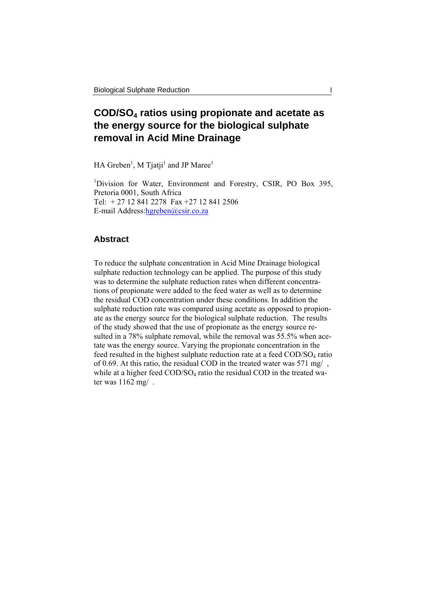# **COD/SO4 ratios using propionate and acetate as the energy source for the biological sulphate removal in Acid Mine Drainage**

HA Greben<sup>1</sup>, M Tjatji<sup>1</sup> and JP Maree<sup>1</sup>

<sup>1</sup>Division for Water, Environment and Forestry, CSIR, PO Box 395, Pretoria 0001, South Africa Tel: + 27 12 841 2278 Fax +27 12 841 2506 E-mail Address:hgreben@csir.co.za

# **Abstract**

To reduce the sulphate concentration in Acid Mine Drainage biological sulphate reduction technology can be applied. The purpose of this study was to determine the sulphate reduction rates when different concentrations of propionate were added to the feed water as well as to determine the residual COD concentration under these conditions. In addition the sulphate reduction rate was compared using acetate as opposed to propionate as the energy source for the biological sulphate reduction. The results of the study showed that the use of propionate as the energy source resulted in a 78% sulphate removal, while the removal was 55.5% when acetate was the energy source. Varying the propionate concentration in the feed resulted in the highest sulphate reduction rate at a feed  $\text{COD/SO}_4$  ratio of 0.69. At this ratio, the residual COD in the treated water was 571 mg/ , while at a higher feed COD/SO<sub>4</sub> ratio the residual COD in the treated water was 1162 mg/ .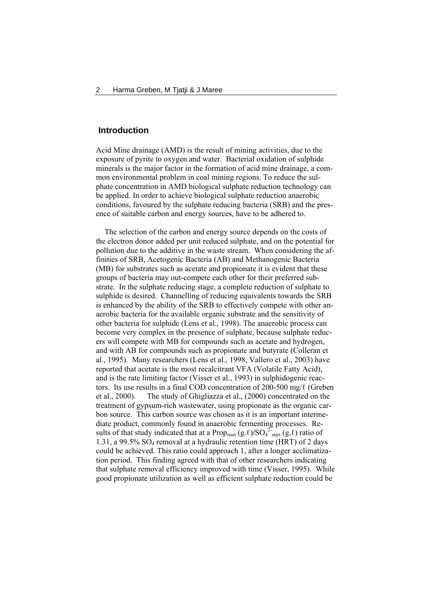# **Introduction**

Acid Mine drainage (AMD) is the result of mining activities, due to the exposure of pyrite to oxygen and water. Bacterial oxidation of sulphide minerals is the major factor in the formation of acid mine drainage, a common environmental problem in coal mining regions. To reduce the sulphate concentration in AMD biological sulphate reduction technology can be applied. In order to achieve biological sulphate reduction anaerobic conditions, favoured by the sulphate reducing bacteria (SRB) and the presence of suitable carbon and energy sources, have to be adhered to.

 The selection of the carbon and energy source depends on the costs of the electron donor added per unit reduced sulphate, and on the potential for pollution due to the additive in the waste stream. When considering the affinities of SRB, Acetogenic Bacteria (AB) and Methanogenic Bacteria (MB) for substrates such as acetate and propionate it is evident that these groups of bacteria may out-compete each other for their preferred substrate. In the sulphate reducing stage, a complete reduction of sulphate to sulphide is desired. Channelling of reducing equivalents towards the SRB is enhanced by the ability of the SRB to effectively compete with other anaerobic bacteria for the available organic substrate and the sensitivity of other bacteria for sulphide (Lens et al., 1998). The anaerobic process can become very complex in the presence of sulphate, because sulphate reducers will compete with MB for compounds such as acetate and hydrogen, and with AB for compounds such as propionate and butyrate (Colleran et al., 1995). Many researchers (Lens et al., 1998, Vallero et al., 2003) have reported that acetate is the most recalcitrant VFA (Volatile Fatty Acid), and is the rate limiting factor (Visser et al., 1993) in sulphidogenic reactors. Its use results in a final COD concentration of 200-500 mg/ℓ (Greben et al., 2000). The study of Ghigliazza et al., (2000) concentrated on the treatment of gypsum-rich wastewater, using propionate as the organic carbon source. This carbon source was chosen as it is an important intermediate product, commonly found in anaerobic fermenting processes. Results of that study indicated that at a Prop<sub>start</sub> (g.*ℓ*)/SO<sub>4</sub><sup>2-</sup><sub>start</sub> (g.*ℓ*) ratio of 1.31, a 99.5% SO4 removal at a hydraulic retention time (HRT) of 2 days could be achieved. This ratio could approach 1, after a longer acclimatization period. This finding agreed with that of other researchers indicating that sulphate removal efficiency improved with time (Visser, 1995). While good propionate utilization as well as efficient sulphate reduction could be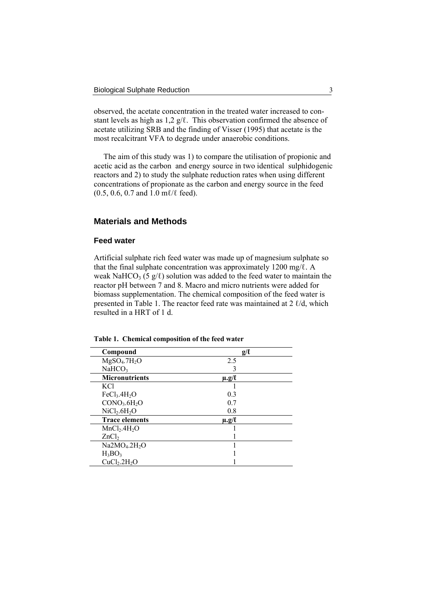observed, the acetate concentration in the treated water increased to constant levels as high as 1,2 g/ℓ. This observation confirmed the absence of acetate utilizing SRB and the finding of Visser (1995) that acetate is the most recalcitrant VFA to degrade under anaerobic conditions.

 The aim of this study was 1) to compare the utilisation of propionic and acetic acid as the carbon and energy source in two identical sulphidogenic reactors and 2) to study the sulphate reduction rates when using different concentrations of propionate as the carbon and energy source in the feed (0.5, 0.6, 0.7 and 1.0 mℓ/ℓ feed).

# **Materials and Methods**

## **Feed water**

Artificial sulphate rich feed water was made up of magnesium sulphate so that the final sulphate concentration was approximately 1200 mg/ $\ell$ . A weak NaHCO<sub>3</sub> (5 g/ $\ell$ ) solution was added to the feed water to maintain the reactor pH between 7 and 8. Macro and micro nutrients were added for biomass supplementation. The chemical composition of the feed water is presented in Table 1. The reactor feed rate was maintained at 2 ℓ/d, which resulted in a HRT of 1 d.

| Compound                              | $g/\ell$         |
|---------------------------------------|------------------|
| MgSO <sub>4</sub> .7H <sub>2</sub> O  | 2.5              |
| NaHCO <sub>3</sub>                    | 3                |
| <b>Micronutrients</b>                 | $\mu$ .g/ $\ell$ |
| KCl                                   |                  |
| FeCl <sub>3</sub> .4H <sub>2</sub> O  | 0.3              |
| CONO <sub>3</sub> .6H <sub>2</sub> O  | 07               |
| NiCl <sub>2</sub> .6H <sub>2</sub> O  | 0.8              |
| <b>Trace elements</b>                 | $\mu$ .g/l       |
| MnCl <sub>2</sub> .4H <sub>2</sub> O  |                  |
| ZnCl <sub>2</sub>                     |                  |
| Na2MO <sub>4</sub> .2H <sub>2</sub> O |                  |
| $H_3BO_3$                             |                  |
| CuCl <sub>2</sub> .2H <sub>2</sub> O  |                  |

**Table 1. Chemical composition of the feed water**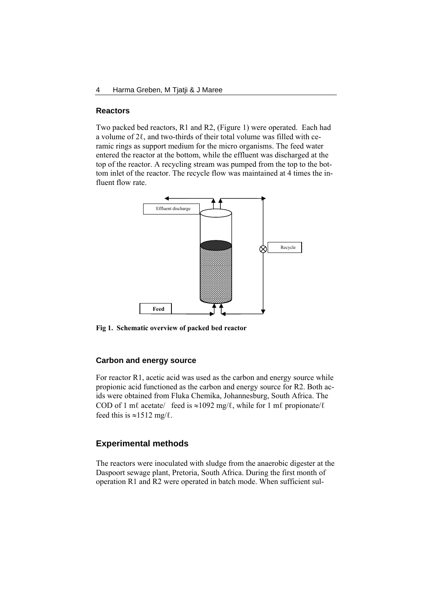#### **Reactors**

Two packed bed reactors, R1 and R2, (Figure 1) were operated. Each had a volume of 2ℓ, and two-thirds of their total volume was filled with ceramic rings as support medium for the micro organisms. The feed water entered the reactor at the bottom, while the effluent was discharged at the top of the reactor. A recycling stream was pumped from the top to the bottom inlet of the reactor. The recycle flow was maintained at 4 times the influent flow rate.



**Fig 1. Schematic overview of packed bed reactor** 

## **Carbon and energy source**

For reactor R1, acetic acid was used as the carbon and energy source while propionic acid functioned as the carbon and energy source for R2. Both acids were obtained from Fluka Chemika, Johannesburg, South Africa. The COD of 1 mℓ acetate/ feed is  $\approx$ 1092 mg/ℓ, while for 1 mℓ propionate/ℓ feed this is  $\approx$ 1512 mg/ $\ell$ .

# **Experimental methods**

The reactors were inoculated with sludge from the anaerobic digester at the Daspoort sewage plant, Pretoria, South Africa. During the first month of operation R1 and R2 were operated in batch mode. When sufficient sul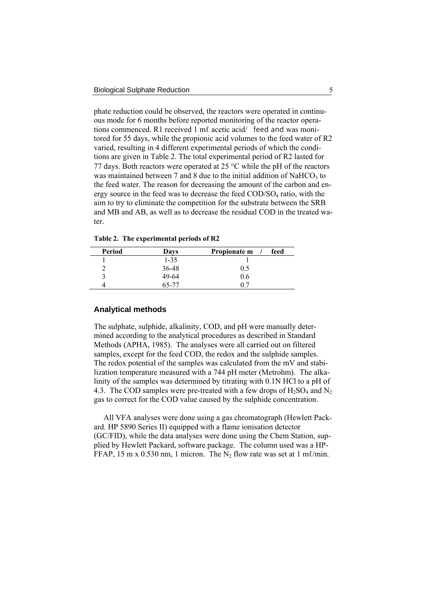phate reduction could be observed, the reactors were operated in continuous mode for 6 months before reported monitoring of the reactor operations commenced. R1 received 1 mℓ acetic acid/ feed and was monitored for 55 days, while the propionic acid volumes to the feed water of R2 varied, resulting in 4 different experimental periods of which the conditions are given in Table 2. The total experimental period of R2 lasted for 77 days. Both reactors were operated at  $25^{\circ}$ C while the pH of the reactors was maintained between  $7$  and  $8$  due to the initial addition of NaHCO<sub>3</sub> to the feed water. The reason for decreasing the amount of the carbon and energy source in the feed was to decrease the feed  $\text{COD/SO}_4$  ratio, with the aim to try to eliminate the competition for the substrate between the SRB and MB and AB, as well as to decrease the residual COD in the treated water.

**Table 2. The experimental periods of R2**

| Period | Days     | Propionate m<br>feed |
|--------|----------|----------------------|
|        | $1 - 35$ |                      |
|        | 36-48    | 0.5                  |
|        | 49-64    | 0.6                  |
|        | 65-77    |                      |

#### **Analytical methods**

The sulphate, sulphide, alkalinity, COD, and pH were manually determined according to the analytical procedures as described in Standard Methods (APHA, 1985). The analyses were all carried out on filtered samples, except for the feed COD, the redox and the sulphide samples. The redox potential of the samples was calculated from the mV and stabilization temperature measured with a 744 pH meter (Metrohm). The alkalinity of the samples was determined by titrating with 0.1N HCl to a pH of 4.3. The COD samples were pre-treated with a few drops of  $H_2SO_4$  and N<sub>2</sub> gas to correct for the COD value caused by the sulphide concentration.

 All VFA analyses were done using a gas chromatograph (Hewlett Packard. HP 5890 Series II) equipped with a flame ionisation detector (GC/FID), while the data analyses were done using the Chem Station, supplied by Hewlett Packard, software package. The column used was a HP-FFAP, 15 m x 0.530 nm, 1 micron. The N<sub>2</sub> flow rate was set at 1 m $\ell$ /min.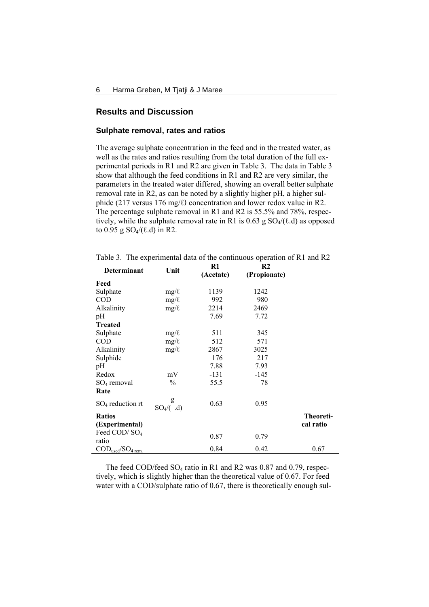## **Results and Discussion**

## **Sulphate removal, rates and ratios**

The average sulphate concentration in the feed and in the treated water, as well as the rates and ratios resulting from the total duration of the full experimental periods in R1 and R2 are given in Table 3. The data in Table 3 show that although the feed conditions in R1 and R2 are very similar, the parameters in the treated water differed, showing an overall better sulphate removal rate in R2, as can be noted by a slightly higher pH, a higher sulphide (217 versus 176 mg/ℓ) concentration and lower redox value in R2. The percentage sulphate removal in R1 and R2 is 55.5% and 78%, respectively, while the sulphate removal rate in R1 is  $0.63$  g  $SO_4/(\ell,d)$  as opposed to 0.95 g  $SO_4/(\ell.d)$  in R2.

Table 3. The experimental data of the continuous operation of R1 and R2

| <b>Determinant</b>                                 | Unit               | $R1$      | R2           |           |
|----------------------------------------------------|--------------------|-----------|--------------|-----------|
|                                                    |                    | (Acetate) | (Propionate) |           |
| Feed                                               |                    |           |              |           |
| Sulphate                                           | $mg/\ell$          | 1139      | 1242         |           |
| <b>COD</b>                                         | $mg/\ell$          | 992       | 980          |           |
| Alkalinity                                         | $mg/\ell$          | 2214      | 2469         |           |
| pH                                                 |                    | 7.69      | 7.72         |           |
| <b>Treated</b>                                     |                    |           |              |           |
| Sulphate                                           | $mg/\ell$          | 511       | 345          |           |
| <b>COD</b>                                         | $mg/\ell$          | 512       | 571          |           |
| Alkalinity                                         | $mg/\ell$          | 2867      | 3025         |           |
| Sulphide                                           |                    | 176       | 217          |           |
| pH                                                 |                    | 7.88      | 7.93         |           |
| Redox                                              | mV                 | $-131$    | -145         |           |
| $SO_4$ removal                                     | $\frac{0}{0}$      | 55.5      | 78           |           |
| Rate                                               |                    |           |              |           |
| $SO_4$ reduction rt                                | g<br>$SO_4$ /( .d) | 0.63      | 0.95         |           |
| <b>Ratios</b>                                      |                    |           |              | Theoreti- |
| (Experimental)                                     |                    |           |              | cal ratio |
| Feed COD/SO <sub>4</sub>                           |                    |           |              |           |
| ratio                                              |                    | 0.87      | 0.79         |           |
| $\mathrm{COD}_{used}/\mathrm{SO}_{4 \text{ rem.}}$ |                    | 0.84      | 0.42         | 0.67      |

The feed COD/feed SO<sub>4</sub> ratio in R1 and R2 was 0.87 and 0.79, respectively, which is slightly higher than the theoretical value of 0.67. For feed water with a COD/sulphate ratio of 0.67, there is theoretically enough sul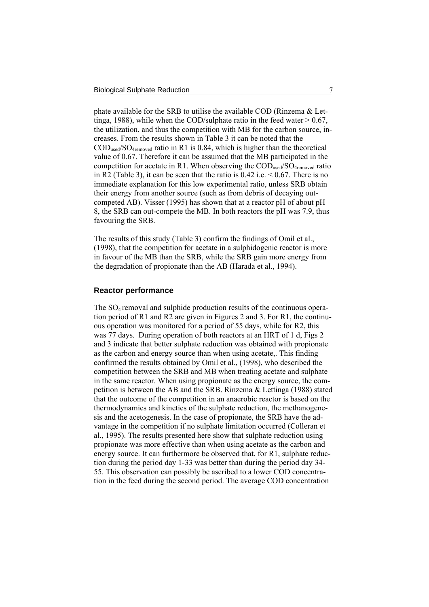phate available for the SRB to utilise the available COD (Rinzema & Lettinga, 1988), while when the COD/sulphate ratio in the feed water  $> 0.67$ , the utilization, and thus the competition with MB for the carbon source, increases. From the results shown in Table 3 it can be noted that the  $\text{COD}_{\text{used}}/\text{SO}_{\text{4removed}}$  ratio in R1 is 0.84, which is higher than the theoretical value of 0.67. Therefore it can be assumed that the MB participated in the competition for acetate in R1. When observing the COD<sub>used</sub>/SO<sub>4removed</sub> ratio in R2 (Table 3), it can be seen that the ratio is  $0.42$  i.e.  $\leq 0.67$ . There is no immediate explanation for this low experimental ratio, unless SRB obtain their energy from another source (such as from debris of decaying outcompeted AB). Visser (1995) has shown that at a reactor pH of about pH 8, the SRB can out-compete the MB. In both reactors the pH was 7.9, thus favouring the SRB.

The results of this study (Table 3) confirm the findings of Omil et al., (1998), that the competition for acetate in a sulphidogenic reactor is more in favour of the MB than the SRB, while the SRB gain more energy from the degradation of propionate than the AB (Harada et al., 1994).

#### **Reactor performance**

The  $SO_4$  removal and sulphide production results of the continuous operation period of R1 and R2 are given in Figures 2 and 3. For R1, the continuous operation was monitored for a period of 55 days, while for R2, this was 77 days. During operation of both reactors at an HRT of 1 d, Figs 2 and 3 indicate that better sulphate reduction was obtained with propionate as the carbon and energy source than when using acetate,. This finding confirmed the results obtained by Omil et al., (1998), who described the competition between the SRB and MB when treating acetate and sulphate in the same reactor. When using propionate as the energy source, the competition is between the AB and the SRB. Rinzema & Lettinga (1988) stated that the outcome of the competition in an anaerobic reactor is based on the thermodynamics and kinetics of the sulphate reduction, the methanogenesis and the acetogenesis. In the case of propionate, the SRB have the advantage in the competition if no sulphate limitation occurred (Colleran et al., 1995). The results presented here show that sulphate reduction using propionate was more effective than when using acetate as the carbon and energy source. It can furthermore be observed that, for R1, sulphate reduction during the period day 1-33 was better than during the period day 34- 55. This observation can possibly be ascribed to a lower COD concentration in the feed during the second period. The average COD concentration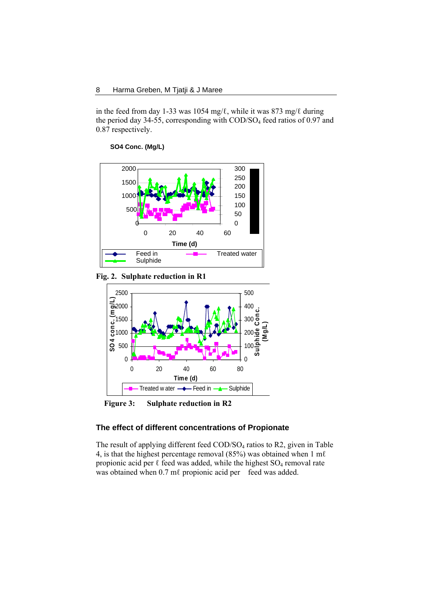in the feed from day 1-33 was 1054 mg/ℓ, while it was 873 mg/ℓ during the period day  $34-55$ , corresponding with COD/SO<sub>4</sub> feed ratios of 0.97 and 0.87 respectively.

**SO4 Conc. (Mg/L)**



**Fig. 2. Sulphate reduction in R1**



**Figure 3: Sulphate reduction in R2**

## **The effect of different concentrations of Propionate**

The result of applying different feed COD/SO<sub>4</sub> ratios to R2, given in Table 4, is that the highest percentage removal (85%) was obtained when 1 m $\ell$ propionic acid per  $\ell$  feed was added, while the highest SO<sub>4</sub> removal rate was obtained when 0.7 ml propionic acid per feed was added.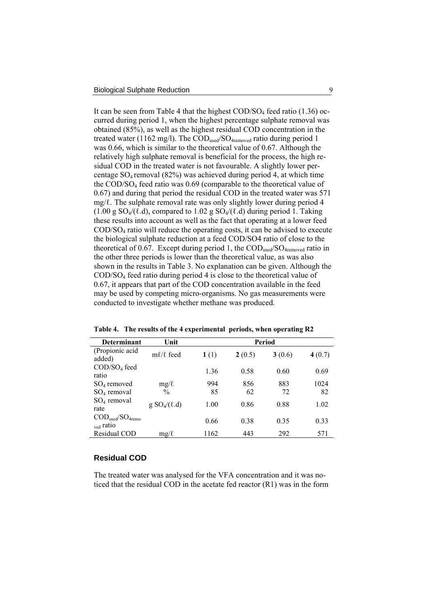It can be seen from Table 4 that the highest  $\text{COD/SO}_4$  feed ratio (1.36) occurred during period 1, when the highest percentage sulphate removal was obtained (85%), as well as the highest residual COD concentration in the treated water (1162 mg/l). The  $\text{COD}_{\text{used}}/\text{SO}_{\text{4removed}}$  ratio during period 1 was 0.66, which is similar to the theoretical value of 0.67. Although the relatively high sulphate removal is beneficial for the process, the high residual COD in the treated water is not favourable. A slightly lower percentage SO4 removal (82%) was achieved during period 4, at which time the COD/SO4 feed ratio was 0.69 (comparable to the theoretical value of 0.67) and during that period the residual COD in the treated water was 571  $mg/l$ . The sulphate removal rate was only slightly lower during period 4  $(1.00 \text{ g } SO_4/(\ell, d))$ , compared to  $1.02 \text{ g } SO_4/(\ell, d)$  during period 1. Taking these results into account as well as the fact that operating at a lower feed COD/SO4 ratio will reduce the operating costs, it can be advised to execute the biological sulphate reduction at a feed COD/SO4 ratio of close to the theoretical of 0.67. Except during period 1, the  $\text{COD}_{\text{used}}/\text{SO}_{4\text{removed}}$  ratio in the other three periods is lower than the theoretical value, as was also shown in the results in Table 3. No explanation can be given. Although the COD/SO4 feed ratio during period 4 is close to the theoretical value of 0.67, it appears that part of the COD concentration available in the feed may be used by competing micro-organisms. No gas measurements were conducted to investigate whether methane was produced.

| <b>Determinant</b>                                                   | Unit               | Period |        |        |        |
|----------------------------------------------------------------------|--------------------|--------|--------|--------|--------|
| (Propionic acid<br>added)                                            | $m\ell/\ell$ feed  | 1(1)   | 2(0.5) | 3(0.6) | 4(0.7) |
| COD/SO <sub>4</sub> feed<br>ratio                                    |                    | 1.36   | 0.58   | 0.60   | 0.69   |
| $SO_4$ removed                                                       | $mg/\ell$          | 994    | 856    | 883    | 1024   |
| $SO4$ removal                                                        | $\frac{0}{0}$      | 85     | 62     | 72     | 82     |
| $SO4$ removal<br>rate                                                | $g SO4$ $(\ell,d)$ | 1.00   | 0.86   | 0.88   | 1.02   |
| $\text{COD}_{used}/\text{SO}_{4\text{remo}}$<br><sub>ved</sub> ratio |                    | 0.66   | 0.38   | 0.35   | 0.33   |
| Residual COD                                                         | $mg/\ell$          | 1162   | 443    | 292    | 571    |

**Table 4. The results of the 4 experimental periods, when operating R2** 

## **Residual COD**

The treated water was analysed for the VFA concentration and it was noticed that the residual COD in the acetate fed reactor (R1) was in the form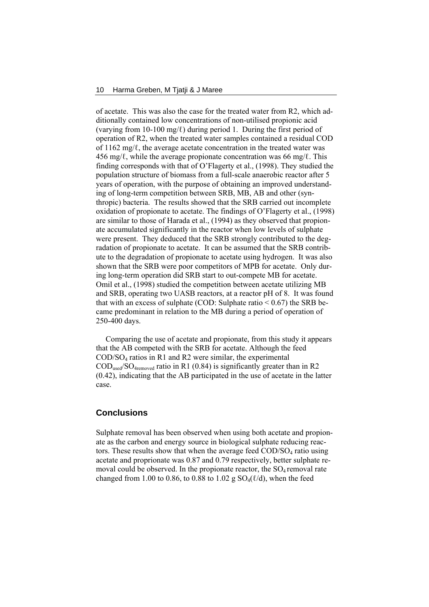of acetate. This was also the case for the treated water from R2, which additionally contained low concentrations of non-utilised propionic acid (varying from 10-100 mg/ $\ell$ ) during period 1. During the first period of operation of R2, when the treated water samples contained a residual COD of 1162 mg/ℓ, the average acetate concentration in the treated water was 456 mg/ $\ell$ , while the average propionate concentration was 66 mg/ $\ell$ . This finding corresponds with that of O'Flagerty et al., (1998). They studied the population structure of biomass from a full-scale anaerobic reactor after 5 years of operation, with the purpose of obtaining an improved understanding of long-term competition between SRB, MB, AB and other (synthropic) bacteria. The results showed that the SRB carried out incomplete oxidation of propionate to acetate. The findings of O'Flagerty et al., (1998) are similar to those of Harada et al., (1994) as they observed that propionate accumulated significantly in the reactor when low levels of sulphate were present. They deduced that the SRB strongly contributed to the degradation of propionate to acetate. It can be assumed that the SRB contribute to the degradation of propionate to acetate using hydrogen. It was also shown that the SRB were poor competitors of MPB for acetate. Only during long-term operation did SRB start to out-compete MB for acetate. Omil et al., (1998) studied the competition between acetate utilizing MB and SRB, operating two UASB reactors, at a reactor pH of 8. It was found that with an excess of sulphate (COD: Sulphate ratio  $\leq 0.67$ ) the SRB became predominant in relation to the MB during a period of operation of 250-400 days.

 Comparing the use of acetate and propionate, from this study it appears that the AB competed with the SRB for acetate. Although the feed COD/SO4 ratios in R1 and R2 were similar, the experimental  $\text{COD}_{\text{used}}/\text{SO}_{\text{4removed}}$  ratio in R1 (0.84) is significantly greater than in R2 (0.42), indicating that the AB participated in the use of acetate in the latter case.

# **Conclusions**

Sulphate removal has been observed when using both acetate and propionate as the carbon and energy source in biological sulphate reducing reactors. These results show that when the average feed  $\text{COD/SO}_4$  ratio using acetate and proprionate was 0.87 and 0.79 respectively, better sulphate removal could be observed. In the propionate reactor, the  $SO_4$  removal rate changed from 1.00 to 0.86, to 0.88 to 1.02 g  $SO_4(\ell/d)$ , when the feed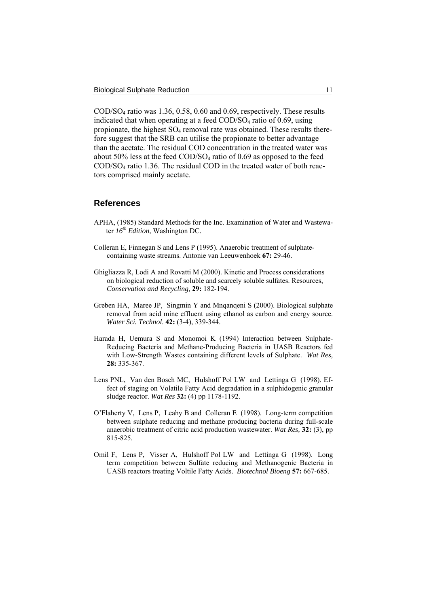COD/SO4 ratio was 1.36, 0.58, 0.60 and 0.69, respectively. These results indicated that when operating at a feed  $\text{COD/SO}_4$  ratio of 0.69, using propionate, the highest  $SO_4$  removal rate was obtained. These results therefore suggest that the SRB can utilise the propionate to better advantage than the acetate. The residual COD concentration in the treated water was about 50% less at the feed  $\text{COD/SO}_4$  ratio of 0.69 as opposed to the feed COD/SO4 ratio 1.36. The residual COD in the treated water of both reactors comprised mainly acetate.

## **References**

- APHA, (1985) Standard Methods for the Inc. Examination of Water and Wastewater *16th Edition,* Washington DC.
- Colleran E, Finnegan S and Lens P (1995). Anaerobic treatment of sulphatecontaining waste streams. Antonie van Leeuwenhoek **67:** 29-46.
- Ghigliazza R, Lodi A and Rovatti M (2000). Kinetic and Process considerations on biological reduction of soluble and scarcely soluble sulfates. Resources, *Conservation and Recycling,* **29:** 182-194.
- Greben HA, Maree JP, Singmin Y and Mnqanqeni S (2000). Biological sulphate removal from acid mine effluent using ethanol as carbon and energy source. *Water Sci. Technol*. **42:** (3-4), 339-344.
- Harada H, Uemura S and Monomoi K (1994) Interaction between Sulphate-Reducing Bacteria and Methane-Producing Bacteria in UASB Reactors fed with Low-Strength Wastes containing different levels of Sulphate. *Wat Res,* **28:** 335-367.
- Lens PNL, Van den Bosch MC, Hulshoff Pol LW and Lettinga G (1998). Effect of staging on Volatile Fatty Acid degradation in a sulphidogenic granular sludge reactor. *Wat Res* **32:** (4) pp 1178-1192.
- O'Flaherty V, Lens P, Leahy B and Colleran E (1998). Long-term competition between sulphate reducing and methane producing bacteria during full-scale anaerobic treatment of citric acid production wastewater. *Wat Res,* **32:** (3), pp 815-825.
- Omil F, Lens P, Visser A, Hulshoff Pol LW and Lettinga G (1998). Long term competition between Sulfate reducing and Methanogenic Bacteria in UASB reactors treating Voltile Fatty Acids. *Biotechnol Bioeng* **57:** 667-685.